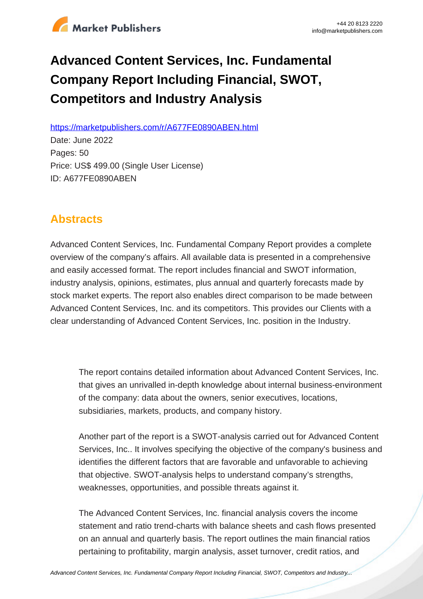

# **Advanced Content Services, Inc. Fundamental Company Report Including Financial, SWOT, Competitors and Industry Analysis**

https://marketpublishers.com/r/A677FE0890ABEN.html

Date: June 2022 Pages: 50 Price: US\$ 499.00 (Single User License) ID: A677FE0890ABEN

# **Abstracts**

Advanced Content Services, Inc. Fundamental Company Report provides a complete overview of the company's affairs. All available data is presented in a comprehensive and easily accessed format. The report includes financial and SWOT information, industry analysis, opinions, estimates, plus annual and quarterly forecasts made by stock market experts. The report also enables direct comparison to be made between Advanced Content Services, Inc. and its competitors. This provides our Clients with a clear understanding of Advanced Content Services, Inc. position in the Industry.

The report contains detailed information about Advanced Content Services, Inc. that gives an unrivalled in-depth knowledge about internal business-environment of the company: data about the owners, senior executives, locations, subsidiaries, markets, products, and company history.

Another part of the report is a SWOT-analysis carried out for Advanced Content Services, Inc.. It involves specifying the objective of the company's business and identifies the different factors that are favorable and unfavorable to achieving that objective. SWOT-analysis helps to understand company's strengths, weaknesses, opportunities, and possible threats against it.

The Advanced Content Services, Inc. financial analysis covers the income statement and ratio trend-charts with balance sheets and cash flows presented on an annual and quarterly basis. The report outlines the main financial ratios pertaining to profitability, margin analysis, asset turnover, credit ratios, and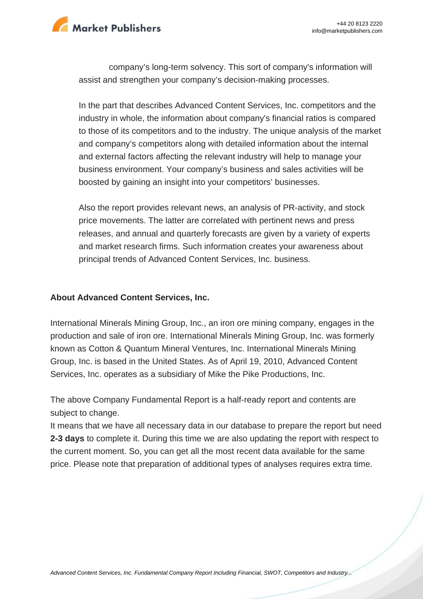

company's long-term solvency. This sort of company's information will assist and strengthen your company's decision-making processes.

In the part that describes Advanced Content Services, Inc. competitors and the industry in whole, the information about company's financial ratios is compared to those of its competitors and to the industry. The unique analysis of the market and company's competitors along with detailed information about the internal and external factors affecting the relevant industry will help to manage your business environment. Your company's business and sales activities will be boosted by gaining an insight into your competitors' businesses.

Also the report provides relevant news, an analysis of PR-activity, and stock price movements. The latter are correlated with pertinent news and press releases, and annual and quarterly forecasts are given by a variety of experts and market research firms. Such information creates your awareness about principal trends of Advanced Content Services, Inc. business.

#### **About Advanced Content Services, Inc.**

International Minerals Mining Group, Inc., an iron ore mining company, engages in the production and sale of iron ore. International Minerals Mining Group, Inc. was formerly known as Cotton & Quantum Mineral Ventures, Inc. International Minerals Mining Group, Inc. is based in the United States. As of April 19, 2010, Advanced Content Services, Inc. operates as a subsidiary of Mike the Pike Productions, Inc.

The above Company Fundamental Report is a half-ready report and contents are subject to change.

It means that we have all necessary data in our database to prepare the report but need **2-3 days** to complete it. During this time we are also updating the report with respect to the current moment. So, you can get all the most recent data available for the same price. Please note that preparation of additional types of analyses requires extra time.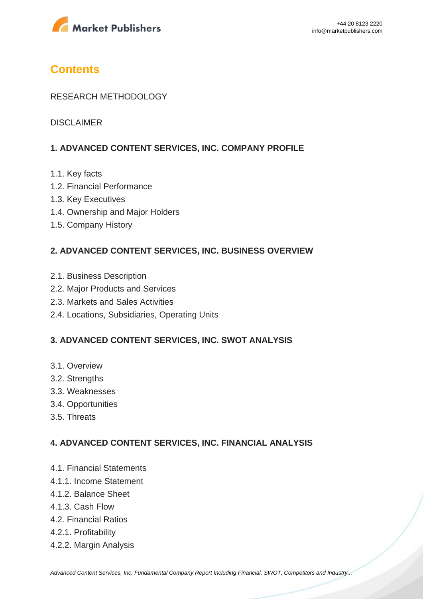

# **Contents**

### RESEARCH METHODOLOGY

DISCLAIMER

### **1. ADVANCED CONTENT SERVICES, INC. COMPANY PROFILE**

- 1.1. Key facts
- 1.2. Financial Performance
- 1.3. Key Executives
- 1.4. Ownership and Major Holders
- 1.5. Company History

### **2. ADVANCED CONTENT SERVICES, INC. BUSINESS OVERVIEW**

- 2.1. Business Description
- 2.2. Major Products and Services
- 2.3. Markets and Sales Activities
- 2.4. Locations, Subsidiaries, Operating Units

### **3. ADVANCED CONTENT SERVICES, INC. SWOT ANALYSIS**

- 3.1. Overview
- 3.2. Strengths
- 3.3. Weaknesses
- 3.4. Opportunities
- 3.5. Threats

### **4. ADVANCED CONTENT SERVICES, INC. FINANCIAL ANALYSIS**

- 4.1. Financial Statements
- 4.1.1. Income Statement
- 4.1.2. Balance Sheet
- 4.1.3. Cash Flow
- 4.2. Financial Ratios
- 4.2.1. Profitability
- 4.2.2. Margin Analysis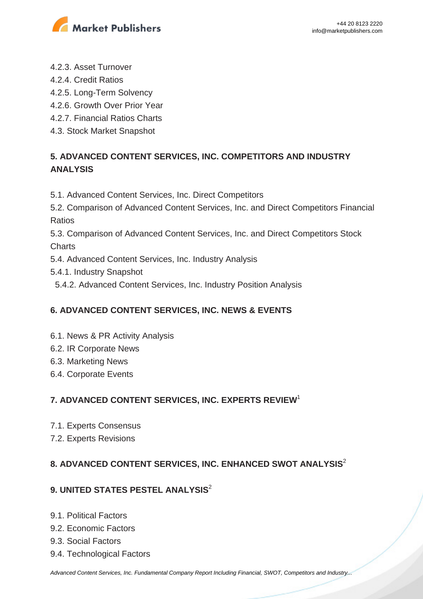

- 4.2.3. Asset Turnover
- 4.2.4. Credit Ratios
- 4.2.5. Long-Term Solvency
- 4.2.6. Growth Over Prior Year
- 4.2.7. Financial Ratios Charts
- 4.3. Stock Market Snapshot

## **5. ADVANCED CONTENT SERVICES, INC. COMPETITORS AND INDUSTRY ANALYSIS**

- 5.1. Advanced Content Services, Inc. Direct Competitors
- 5.2. Comparison of Advanced Content Services, Inc. and Direct Competitors Financial Ratios

5.3. Comparison of Advanced Content Services, Inc. and Direct Competitors Stock **Charts** 

- 5.4. Advanced Content Services, Inc. Industry Analysis
- 5.4.1. Industry Snapshot
- 5.4.2. Advanced Content Services, Inc. Industry Position Analysis

### **6. ADVANCED CONTENT SERVICES, INC. NEWS & EVENTS**

- 6.1. News & PR Activity Analysis
- 6.2. IR Corporate News
- 6.3. Marketing News
- 6.4. Corporate Events

### **7. ADVANCED CONTENT SERVICES, INC. EXPERTS REVIEW**<sup>1</sup>

- 7.1. Experts Consensus
- 7.2. Experts Revisions

### **8. ADVANCED CONTENT SERVICES, INC. ENHANCED SWOT ANALYSIS**<sup>2</sup>

### **9. UNITED STATES PESTEL ANALYSIS**<sup>2</sup>

- 9.1. Political Factors
- 9.2. Economic Factors
- 9.3. Social Factors
- 9.4. Technological Factors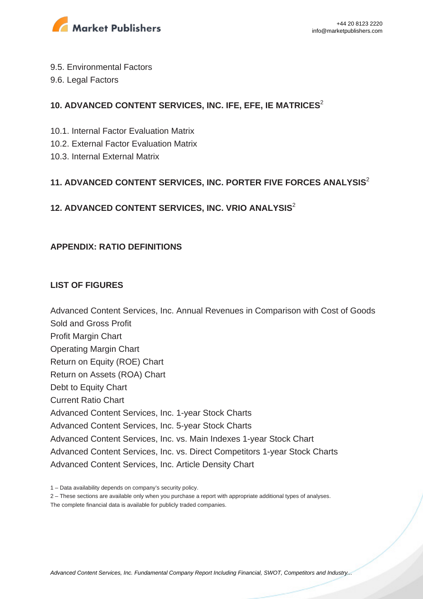

- 9.5. Environmental Factors
- 9.6. Legal Factors

### **10. ADVANCED CONTENT SERVICES, INC. IFE, EFE, IE MATRICES**<sup>2</sup>

- 10.1. Internal Factor Evaluation Matrix
- 10.2. External Factor Evaluation Matrix
- 10.3. Internal External Matrix

### **11. ADVANCED CONTENT SERVICES, INC. PORTER FIVE FORCES ANALYSIS**<sup>2</sup>

# **12. ADVANCED CONTENT SERVICES, INC. VRIO ANALYSIS**<sup>2</sup>

### **APPENDIX: RATIO DEFINITIONS**

### **LIST OF FIGURES**

Advanced Content Services, Inc. Annual Revenues in Comparison with Cost of Goods Sold and Gross Profit Profit Margin Chart Operating Margin Chart Return on Equity (ROE) Chart Return on Assets (ROA) Chart Debt to Equity Chart Current Ratio Chart Advanced Content Services, Inc. 1-year Stock Charts Advanced Content Services, Inc. 5-year Stock Charts Advanced Content Services, Inc. vs. Main Indexes 1-year Stock Chart Advanced Content Services, Inc. vs. Direct Competitors 1-year Stock Charts Advanced Content Services, Inc. Article Density Chart

<sup>1 –</sup> Data availability depends on company's security policy.

<sup>2 –</sup> These sections are available only when you purchase a report with appropriate additional types of analyses.

The complete financial data is available for publicly traded companies.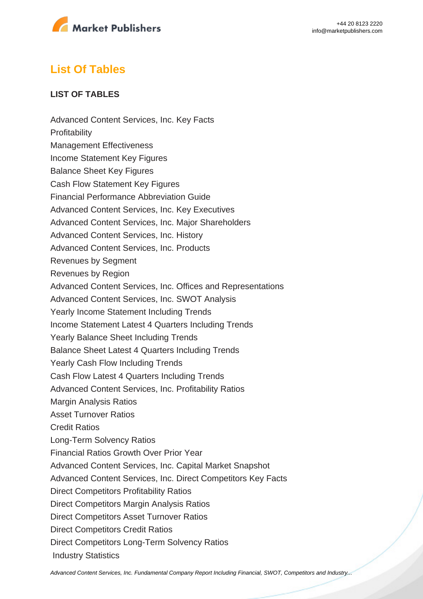

# **List Of Tables**

### **LIST OF TABLES**

Advanced Content Services, Inc. Key Facts **Profitability** Management Effectiveness Income Statement Key Figures Balance Sheet Key Figures Cash Flow Statement Key Figures Financial Performance Abbreviation Guide Advanced Content Services, Inc. Key Executives Advanced Content Services, Inc. Major Shareholders Advanced Content Services, Inc. History Advanced Content Services, Inc. Products Revenues by Segment Revenues by Region Advanced Content Services, Inc. Offices and Representations Advanced Content Services, Inc. SWOT Analysis Yearly Income Statement Including Trends Income Statement Latest 4 Quarters Including Trends Yearly Balance Sheet Including Trends Balance Sheet Latest 4 Quarters Including Trends Yearly Cash Flow Including Trends Cash Flow Latest 4 Quarters Including Trends Advanced Content Services, Inc. Profitability Ratios Margin Analysis Ratios Asset Turnover Ratios Credit Ratios Long-Term Solvency Ratios Financial Ratios Growth Over Prior Year Advanced Content Services, Inc. Capital Market Snapshot Advanced Content Services, Inc. Direct Competitors Key Facts Direct Competitors Profitability Ratios Direct Competitors Margin Analysis Ratios Direct Competitors Asset Turnover Ratios Direct Competitors Credit Ratios Direct Competitors Long-Term Solvency Ratios Industry Statistics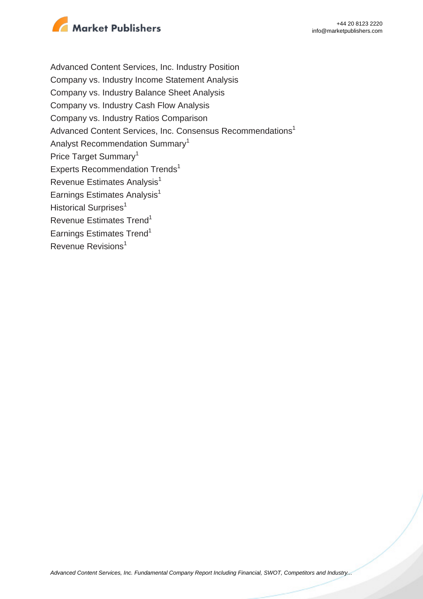

Advanced Content Services, Inc. Industry Position Company vs. Industry Income Statement Analysis Company vs. Industry Balance Sheet Analysis Company vs. Industry Cash Flow Analysis Company vs. Industry Ratios Comparison Advanced Content Services, Inc. Consensus Recommendations<sup>1</sup> Analyst Recommendation Summary<sup>1</sup> Price Target Summary<sup>1</sup> Experts Recommendation Trends<sup>1</sup> Revenue Estimates Analysis<sup>1</sup> Earnings Estimates Analysis $<sup>1</sup>$ </sup> Historical Surprises<sup>1</sup> Revenue Estimates Trend<sup>1</sup> Earnings Estimates Trend<sup>1</sup> Revenue Revisions<sup>1</sup>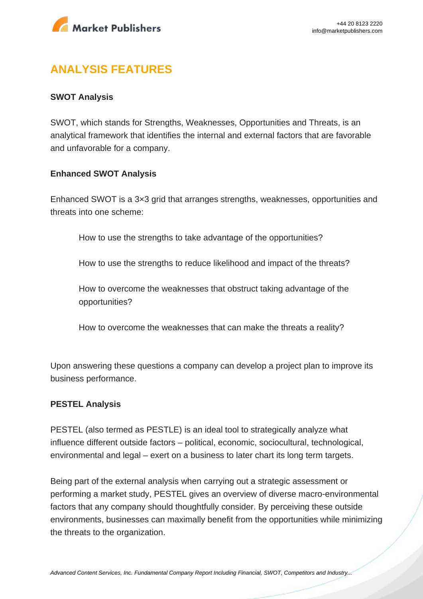

# **ANALYSIS FEATURES**

### **SWOT Analysis**

SWOT, which stands for Strengths, Weaknesses, Opportunities and Threats, is an analytical framework that identifies the internal and external factors that are favorable and unfavorable for a company.

#### **Enhanced SWOT Analysis**

Enhanced SWOT is a 3×3 grid that arranges strengths, weaknesses, opportunities and threats into one scheme:

How to use the strengths to take advantage of the opportunities?

How to use the strengths to reduce likelihood and impact of the threats?

How to overcome the weaknesses that obstruct taking advantage of the opportunities?

How to overcome the weaknesses that can make the threats a reality?

Upon answering these questions a company can develop a project plan to improve its business performance.

#### **PESTEL Analysis**

PESTEL (also termed as PESTLE) is an ideal tool to strategically analyze what influence different outside factors – political, economic, sociocultural, technological, environmental and legal – exert on a business to later chart its long term targets.

Being part of the external analysis when carrying out a strategic assessment or performing a market study, PESTEL gives an overview of diverse macro-environmental factors that any company should thoughtfully consider. By perceiving these outside environments, businesses can maximally benefit from the opportunities while minimizing the threats to the organization.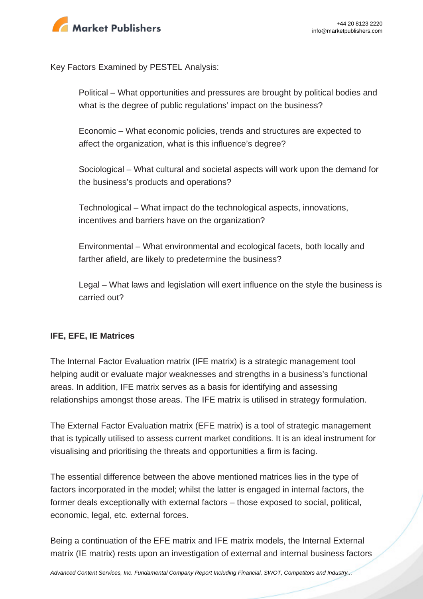

Key Factors Examined by PESTEL Analysis:

Political – What opportunities and pressures are brought by political bodies and what is the degree of public regulations' impact on the business?

Economic – What economic policies, trends and structures are expected to affect the organization, what is this influence's degree?

Sociological – What cultural and societal aspects will work upon the demand for the business's products and operations?

Technological – What impact do the technological aspects, innovations, incentives and barriers have on the organization?

Environmental – What environmental and ecological facets, both locally and farther afield, are likely to predetermine the business?

Legal – What laws and legislation will exert influence on the style the business is carried out?

### **IFE, EFE, IE Matrices**

The Internal Factor Evaluation matrix (IFE matrix) is a strategic management tool helping audit or evaluate major weaknesses and strengths in a business's functional areas. In addition, IFE matrix serves as a basis for identifying and assessing relationships amongst those areas. The IFE matrix is utilised in strategy formulation.

The External Factor Evaluation matrix (EFE matrix) is a tool of strategic management that is typically utilised to assess current market conditions. It is an ideal instrument for visualising and prioritising the threats and opportunities a firm is facing.

The essential difference between the above mentioned matrices lies in the type of factors incorporated in the model; whilst the latter is engaged in internal factors, the former deals exceptionally with external factors – those exposed to social, political, economic, legal, etc. external forces.

Being a continuation of the EFE matrix and IFE matrix models, the Internal External matrix (IE matrix) rests upon an investigation of external and internal business factors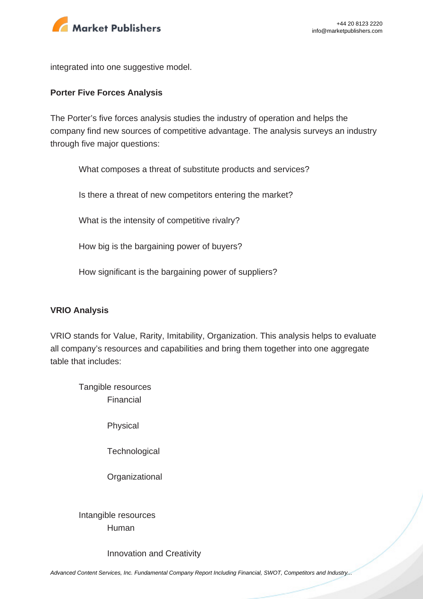

integrated into one suggestive model.

#### **Porter Five Forces Analysis**

The Porter's five forces analysis studies the industry of operation and helps the company find new sources of competitive advantage. The analysis surveys an industry through five major questions:

What composes a threat of substitute products and services?

Is there a threat of new competitors entering the market?

What is the intensity of competitive rivalry?

How big is the bargaining power of buyers?

How significant is the bargaining power of suppliers?

#### **VRIO Analysis**

VRIO stands for Value, Rarity, Imitability, Organization. This analysis helps to evaluate all company's resources and capabilities and bring them together into one aggregate table that includes:

Tangible resources Financial

Physical

**Technological** 

**Organizational** 

Intangible resources Human

Innovation and Creativity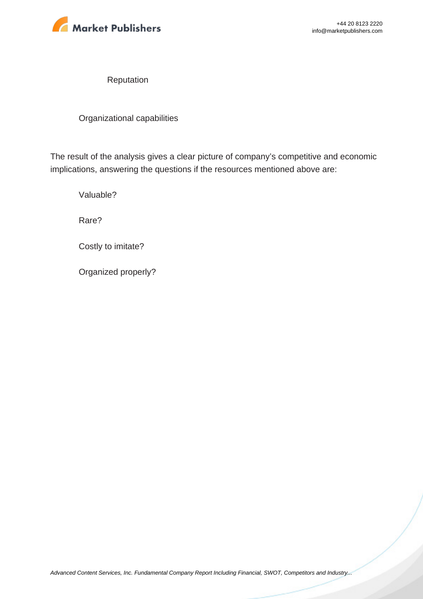

Reputation

Organizational capabilities

The result of the analysis gives a clear picture of company's competitive and economic implications, answering the questions if the resources mentioned above are:

Valuable?

Rare?

Costly to imitate?

Organized properly?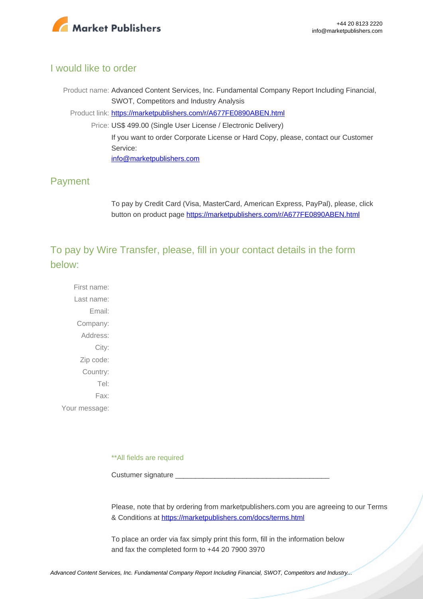

### I would like to order

Product name: Advanced Content Services, Inc. Fundamental Company Report Including Financial, SWOT, Competitors and Industry Analysis Product link: [https://marketpublishers.com/r/A677FE0890ABEN.html](https://marketpublishers.com/report/industry/metallurgy/advanced_content_services_inc_swot_analysis_bac.html) Price: US\$ 499.00 (Single User License / Electronic Delivery) If you want to order Corporate License or Hard Copy, please, contact our Customer Service:

[info@marketpublishers.com](mailto:info@marketpublishers.com)

### Payment

To pay by Credit Card (Visa, MasterCard, American Express, PayPal), please, click button on product page [https://marketpublishers.com/r/A677FE0890ABEN.html](https://marketpublishers.com/report/industry/metallurgy/advanced_content_services_inc_swot_analysis_bac.html)

To pay by Wire Transfer, please, fill in your contact details in the form below:

First name: Last name: Email: Company: Address: City: Zip code: Country: Tel: Fax: Your message:

\*\*All fields are required

Custumer signature

Please, note that by ordering from marketpublishers.com you are agreeing to our Terms & Conditions at<https://marketpublishers.com/docs/terms.html>

To place an order via fax simply print this form, fill in the information below and fax the completed form to +44 20 7900 3970